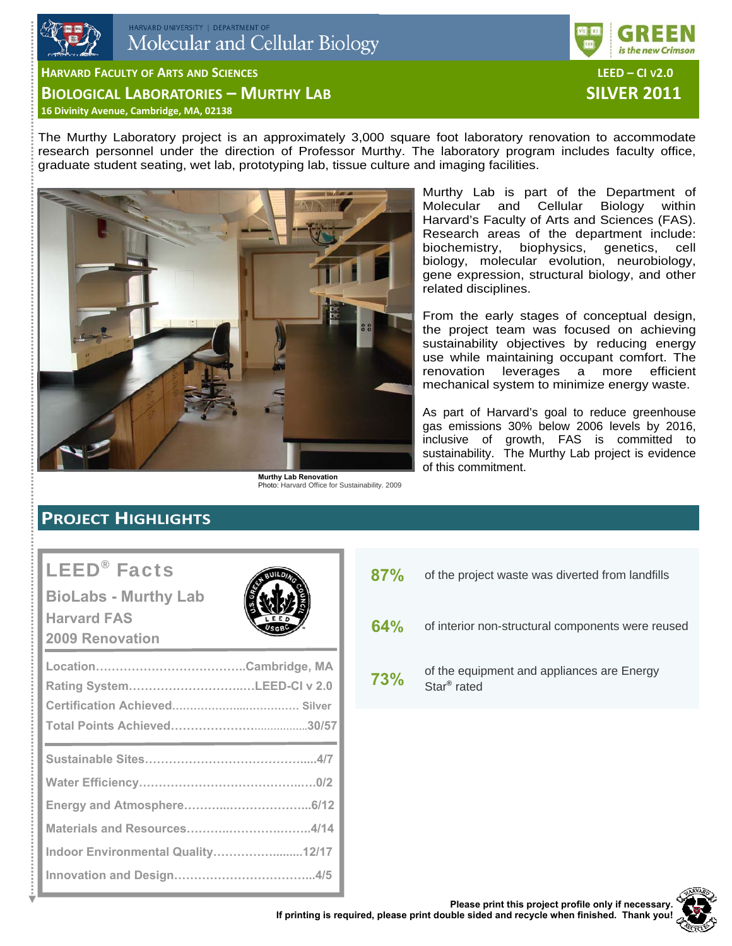



**HARVARD FACULTY OF ARTS AND SCIENCES LEED – CI V2.0**

**BIOLOGICAL LABORATORIES – MURTHY LAB SILVER 2011**

**16 Divinity Avenue, Cambridge, MA, 02138**

The Murthy Laboratory project is an approximately 3,000 square foot laboratory renovation to accommodate research personnel under the direction of Professor Murthy. The laboratory program includes faculty office, graduate student seating, wet lab, prototyping lab, tissue culture and imaging facilities.



**Murthy Lab Renovation**  Photo: Harvard Office for Sustainability. 2009

Murthy Lab is part of the Department of Molecular and Cellular Biology within Harvard's Faculty of Arts and Sciences (FAS). Research areas of the department include: biochemistry, biophysics, genetics, cell biology, molecular evolution, neurobiology, gene expression, structural biology, and other related disciplines.

From the early stages of conceptual design, the project team was focused on achieving sustainability objectives by reducing energy use while maintaining occupant comfort. The renovation leverages a more efficient mechanical system to minimize energy waste.

As part of Harvard's goal to reduce greenhouse gas emissions 30% below 2006 levels by 2016, inclusive of growth, FAS is committed to sustainability. The Murthy Lab project is evidence of this commitment.

# **PROJECT HIGHLIGHTS**

# LEED® Facts

**BioLabs - Murthy Lab Harvard FAS 2009 Renovation** 



| Rating SystemLEED-CI v 2.0        |
|-----------------------------------|
|                                   |
|                                   |
|                                   |
|                                   |
|                                   |
| Indoor Environmental Quality12/17 |
|                                   |

- 87% of the project waste was diverted from landfills
- **64%** of interior non-structural components were reused
- **73%** of the equipment and appliances are Energy Star® rated

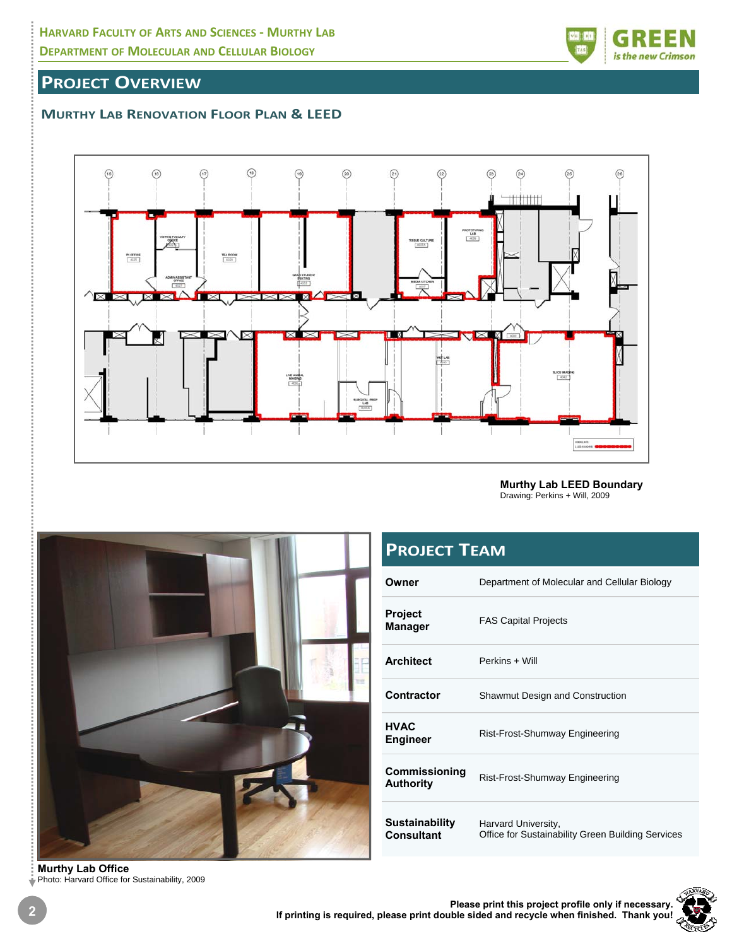

## **PROJECT OVERVIEW**

### **MURTHY LAB RENOVATION FLOOR PLAN & LEED**



**Murthy Lab LEED Boundary**  Drawing: Perkins + Will, 2009



# **PROJECT TEAM**

| Owner                               | Department of Molecular and Cellular Biology                             |
|-------------------------------------|--------------------------------------------------------------------------|
| <b>Project</b><br><b>Manager</b>    | <b>FAS Capital Projects</b>                                              |
| <b>Architect</b>                    | Perkins + Will                                                           |
| Contractor                          | <b>Shawmut Design and Construction</b>                                   |
| <b>HVAC</b><br><b>Engineer</b>      | Rist-Frost-Shumway Engineering                                           |
| Commissioning<br><b>Authority</b>   | Rist-Frost-Shumway Engineering                                           |
| <b>Sustainability</b><br>Consultant | Harvard University,<br>Office for Sustainability Green Building Services |

**Murthy Lab Office**  Photo: Harvard Office for Sustainability, 2009

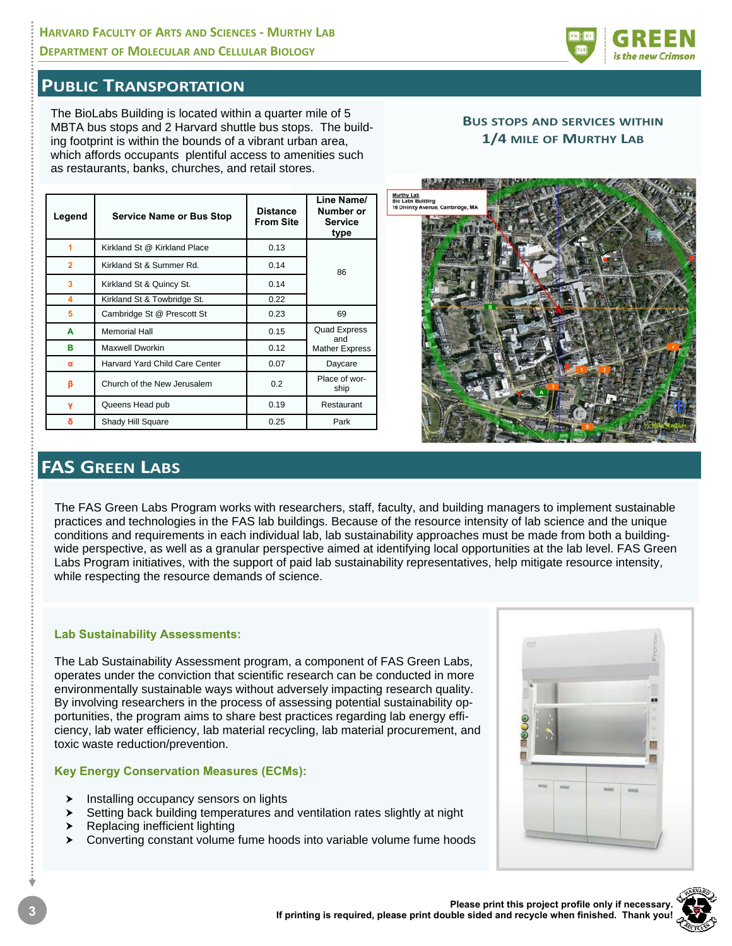### **HARVARD FACULTY OF ARTS AND SCIENCES ‐ MURTHY LAB DEPARTMENT OF MOLECULAR AND CELLULAR BIOLOGY**



### **PUBLIC TRANSPORTATION**

The BioLabs Building is located within a quarter mile of 5 MBTA bus stops and 2 Harvard shuttle bus stops. The building footprint is within the bounds of a vibrant urban area, which affords occupants plentiful access to amenities such as restaurants, banks, churches, and retail stores.

| Legend         | <b>Service Name or Bus Stop</b> | <b>Distance</b><br><b>From Site</b> | Line Name/<br>Number or<br>Service<br>type |  |
|----------------|---------------------------------|-------------------------------------|--------------------------------------------|--|
| 1              | Kirkland St @ Kirkland Place    | 0.13                                |                                            |  |
| $\overline{2}$ | Kirkland St & Summer Rd.        | 0.14                                | 86                                         |  |
| 3              | Kirkland St & Quincy St.        | 0.14                                |                                            |  |
| 4              | Kirkland St & Towbridge St.     | 0.22                                |                                            |  |
| 5              | Cambridge St @ Prescott St      | 0.23                                | 69                                         |  |
| A              | <b>Memorial Hall</b>            | 0.15                                | <b>Quad Express</b><br>and                 |  |
| в              | Maxwell Dworkin                 | 0.12                                | <b>Mather Express</b>                      |  |
| α              | Harvard Yard Child Care Center  | 0.07                                | Daycare                                    |  |
| β              | Church of the New Jerusalem     | 0.2                                 | Place of wor-<br>ship                      |  |
| ۷              | Queens Head pub                 | 0.19                                | Restaurant                                 |  |
| δ              | Shady Hill Square               | 0.25                                | Park                                       |  |

#### **BUS STOPS AND SERVICES WITHIN 1/4 MILE OF MURTHY LAB**



# **FAS GREEN LABS**

The FAS Green Labs Program works with researchers, staff, faculty, and building managers to implement sustainable practices and technologies in the FAS lab buildings. Because of the resource intensity of lab science and the unique conditions and requirements in each individual lab, lab sustainability approaches must be made from both a buildingwide perspective, as well as a granular perspective aimed at identifying local opportunities at the lab level. FAS Green Labs Program initiatives, with the support of paid lab sustainability representatives, help mitigate resource intensity, while respecting the resource demands of science.

#### **Lab Sustainability Assessments:**

The Lab Sustainability Assessment program, a component of FAS Green Labs, operates under the conviction that scientific research can be conducted in more environmentally sustainable ways without adversely impacting research quality. By involving researchers in the process of assessing potential sustainability opportunities, the program aims to share best practices regarding lab energy efficiency, lab water efficiency, lab material recycling, lab material procurement, and toxic waste reduction/prevention.

#### **Key Energy Conservation Measures (ECMs):**

- Installing occupancy sensors on lights
- $\triangleright$  Setting back building temperatures and ventilation rates slightly at night
- Replacing inefficient lighting
- $\triangleright$  Converting constant volume fume hoods into variable volume fume hoods



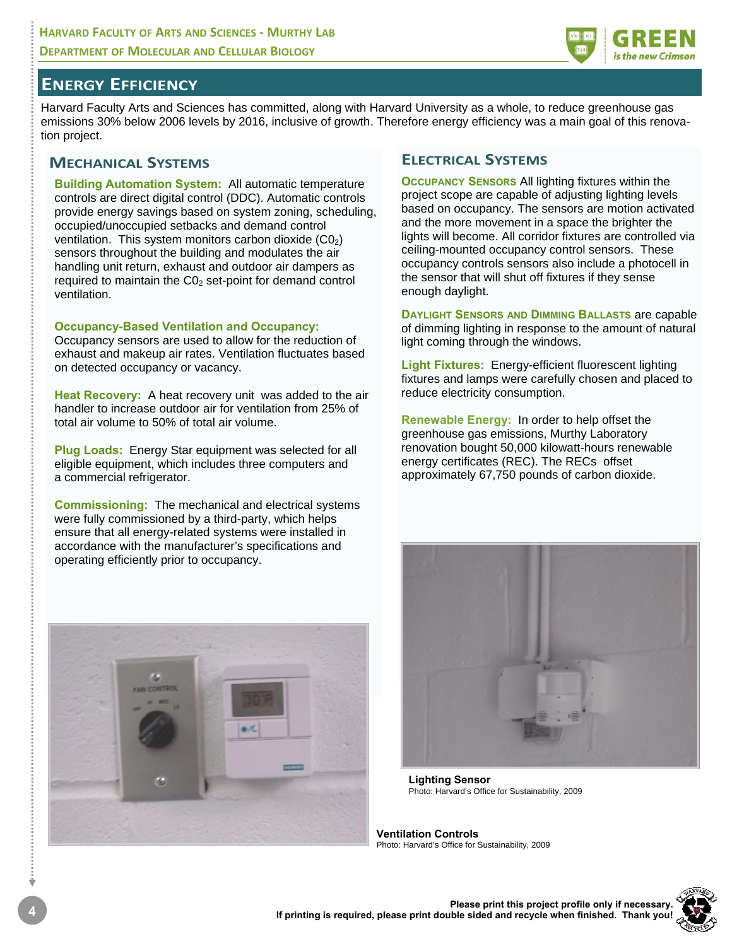

### **ENERGY EFFICIENCY**

Harvard Faculty Arts and Sciences has committed, along with Harvard University as a whole, to reduce greenhouse gas emissions 30% below 2006 levels by 2016, inclusive of growth. Therefore energy efficiency was a main goal of this renovation project.

#### **MECHANICAL SYSTEMS**

**Building Automation System:** All automatic temperature controls are direct digital control (DDC). Automatic controls provide energy savings based on system zoning, scheduling, occupied/unoccupied setbacks and demand control ventilation. This system monitors carbon dioxide  $(C_0)$ sensors throughout the building and modulates the air handling unit return, exhaust and outdoor air dampers as required to maintain the  $CO<sub>2</sub>$  set-point for demand control ventilation.

#### **Occupancy-Based Ventilation and Occupancy:**

Occupancy sensors are used to allow for the reduction of exhaust and makeup air rates. Ventilation fluctuates based on detected occupancy or vacancy.

**Heat Recovery:** A heat recovery unit was added to the air handler to increase outdoor air for ventilation from 25% of total air volume to 50% of total air volume.

**Plug Loads:** Energy Star equipment was selected for all eligible equipment, which includes three computers and a commercial refrigerator.

**Commissioning:** The mechanical and electrical systems were fully commissioned by a third-party, which helps ensure that all energy-related systems were installed in accordance with the manufacturer's specifications and operating efficiently prior to occupancy.



### **ELECTRICAL SYSTEMS**

**OCCUPANCY SENSORS** All lighting fixtures within the project scope are capable of adjusting lighting levels based on occupancy. The sensors are motion activated and the more movement in a space the brighter the lights will become. All corridor fixtures are controlled via ceiling-mounted occupancy control sensors. These occupancy controls sensors also include a photocell in the sensor that will shut off fixtures if they sense enough daylight.

**DAYLIGHT SENSORS AND DIMMING BALLASTS** are capable of dimming lighting in response to the amount of natural light coming through the windows.

**Light Fixtures:** Energy-efficient fluorescent lighting fixtures and lamps were carefully chosen and placed to reduce electricity consumption.

**Renewable Energy:** In order to help offset the greenhouse gas emissions, Murthy Laboratory renovation bought 50,000 kilowatt-hours renewable energy certificates (REC). The RECs offset approximately 67,750 pounds of carbon dioxide.



**Lighting Sensor**  Photo: Harvard's Office for Sustainability, 2009

**Ventilation Controls**  Photo: Harvard's Office for Sustainability, 2009

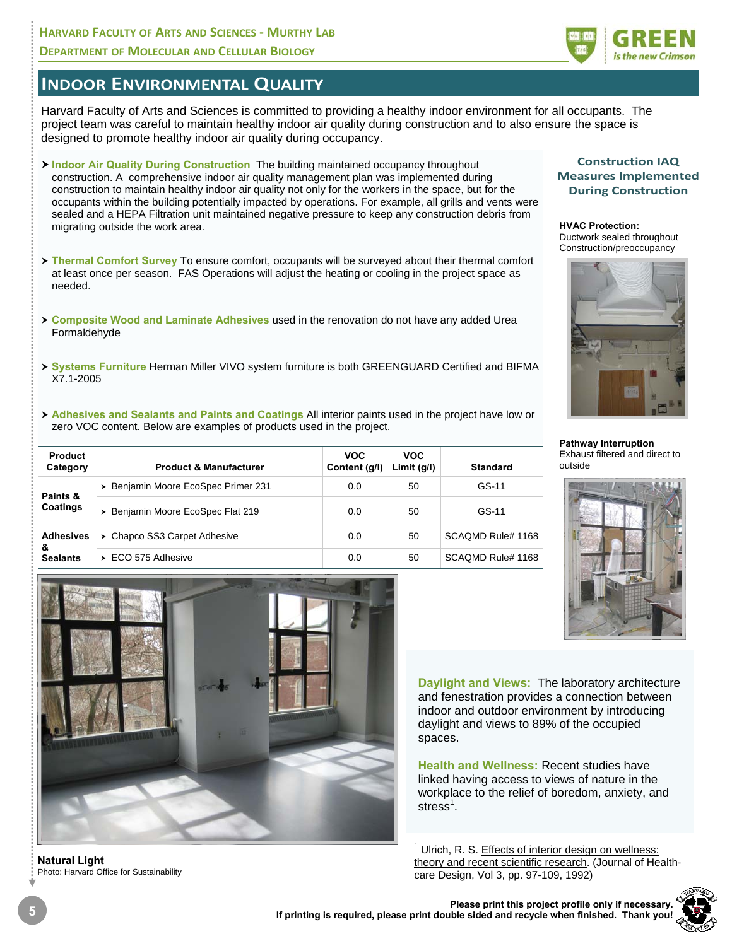#### **HARVARD FACULTY OF ARTS AND SCIENCES ‐ MURTHY LAB DEPARTMENT OF MOLECULAR AND CELLULAR BIOLOGY**



### **INDOOR ENVIRONMENTAL QUALITY**

Harvard Faculty of Arts and Sciences is committed to providing a healthy indoor environment for all occupants. The project team was careful to maintain healthy indoor air quality during construction and to also ensure the space is designed to promote healthy indoor air quality during occupancy.

- **Example of Air Quality During Construction** The building maintained occupancy throughout construction. A comprehensive indoor air quality management plan was implemented during construction to maintain healthy indoor air quality not only for the workers in the space, but for the occupants within the building potentially impacted by operations. For example, all grills and vents were sealed and a HEPA Filtration unit maintained negative pressure to keep any construction debris from migrating outside the work area.
- > Thermal Comfort Survey To ensure comfort, occupants will be surveyed about their thermal comfort at least once per season. FAS Operations will adjust the heating or cooling in the project space as needed.
- h **Composite Wood and Laminate Adhesives** used in the renovation do not have any added Urea Formaldehyde
- h **Systems Furniture** Herman Miller VIVO system furniture is both GREENGUARD Certified and BIFMA X7.1-2005
- **Adhesives and Sealants and Paints and Coatings All interior paints used in the project have low or** zero VOC content. Below are examples of products used in the project.

| <b>Product</b><br>Category               | <b>Product &amp; Manufacturer</b>   | <b>VOC</b><br>Content (g/l) | <b>VOC</b><br>Limit $(q/l)$ | <b>Standard</b>   |
|------------------------------------------|-------------------------------------|-----------------------------|-----------------------------|-------------------|
| Paints &<br>Coatings                     | > Benjamin Moore EcoSpec Primer 231 | 0.0                         | 50                          | GS-11             |
|                                          | > Benjamin Moore EcoSpec Flat 219   | 0.0                         | 50                          | GS-11             |
| <b>Adhesives</b><br>&<br><b>Sealants</b> | > Chapco SS3 Carpet Adhesive        | 0.0                         | 50                          | SCAOMD Rule# 1168 |
|                                          | $\triangleright$ ECO 575 Adhesive   | 0.0                         | 50                          | SCAQMD Rule# 1168 |



**Natural Light**  Photo: Harvard Office for Sustainability

#### **Construction IAQ Measures Implemented During Construction**

**HVAC Protection:**  Ductwork sealed throughout Construction/preoccupancy



**Pathway Interruption**  Exhaust filtered and direct to outside



**Daylight and Views:** The laboratory architecture and fenestration provides a connection between indoor and outdoor environment by introducing daylight and views to 89% of the occupied spaces.

**Health and Wellness:** Recent studies have linked having access to views of nature in the workplace to the relief of boredom, anxiety, and stress<sup>1</sup>.

<sup>1</sup> Ulrich, R. S. Effects of interior design on wellness: theory and recent scientific research. (Journal of Healthcare Design, Vol 3, pp. 97-109, 1992)